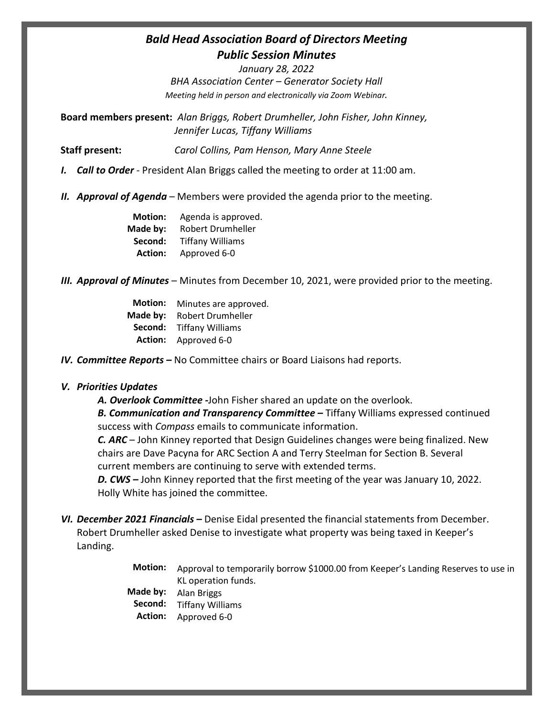## *Bald Head Association Board of Directors Meeting Public Session Minutes*

*January 28, 2022 BHA Association Center – Generator Society Hall Meeting held in person and electronically via Zoom Webinar.*

**Board members present:** *Alan Briggs, Robert Drumheller, John Fisher, John Kinney, Jennifer Lucas, Tiffany Williams*

**Staff present:** *Carol Collins, Pam Henson, Mary Anne Steele*

- *I. Call to Order* President Alan Briggs called the meeting to order at 11:00 am.
- *II. Approval of Agenda* Members were provided the agenda prior to the meeting.

| <b>Motion:</b> | Agenda is approved.     |
|----------------|-------------------------|
| Made by:       | Robert Drumheller       |
| Second:        | <b>Tiffany Williams</b> |
| <b>Action:</b> | Approved 6-0            |

- *III. Approval of Minutes* Minutes from December 10, 2021, were provided prior to the meeting.
	- **Motion:** Minutes are approved. **Made by: Second: Action:** Approved 6-0 Robert Drumheller Tiffany Williams

*IV. Committee Reports –* No Committee chairs or Board Liaisons had reports.

## *V. Priorities Updates*

*A. Overlook Committee -*John Fisher shared an update on the overlook.

*B. Communication and Transparency Committee –* Tiffany Williams expressed continued success with *Compass* emails to communicate information.

*C. ARC* – John Kinney reported that Design Guidelines changes were being finalized. New chairs are Dave Pacyna for ARC Section A and Terry Steelman for Section B. Several current members are continuing to serve with extended terms.

*D. CWS –* John Kinney reported that the first meeting of the year was January 10, 2022. Holly White has joined the committee.

- *VI. December 2021 Financials –* Denise Eidal presented the financial statements from December. Robert Drumheller asked Denise to investigate what property was being taxed in Keeper's Landing.
	- **Motion: Made by: Second: Action:** Approval to temporarily borrow \$1000.00 from Keeper's Landing Reserves to use in KL operation funds. Alan Briggs Tiffany Williams Approved 6-0